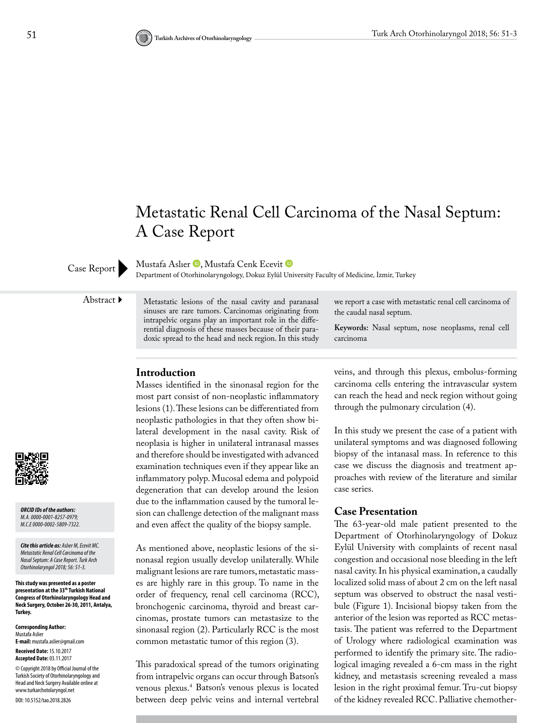# Metastatic Renal Cell Carcinoma of the Nasal Septum: A Case Report

MustafaAslıer **D**, Mustafa Cenk Ecevit **D** 

Case Report<br>Department of Otorhinolaryngology, Dokuz Eylül University Faculty of Medicine, İzmir, Turkey

Abstract Metastatic lesions of the nasal cavity and paranasal sinuses are rare tumors. Carcinomas originating from intrapelvic organs play an important role in the differential diagnosis of these masses because of their paradoxic spread to the head and neck region. In this study

## **Introduction**

Masses identified in the sinonasal region for the most part consist of non-neoplastic inflammatory lesions (1). These lesions can be differentiated from neoplastic pathologies in that they often show bilateral development in the nasal cavity. Risk of neoplasia is higher in unilateral intranasal masses and therefore should be investigated with advanced examination techniques even if they appear like an inflammatory polyp. Mucosal edema and polypoid degeneration that can develop around the lesion due to the inflammation caused by the tumoral lesion can challenge detection of the malignant mass and even affect the quality of the biopsy sample.

As mentioned above, neoplastic lesions of the sinonasal region usually develop unilaterally. While malignant lesions are rare tumors, metastatic masses are highly rare in this group. To name in the order of frequency, renal cell carcinoma (RCC), bronchogenic carcinoma, thyroid and breast carcinomas, prostate tumors can metastasize to the sinonasal region (2). Particularly RCC is the most common metastatic tumor of this region (3).

This paradoxical spread of the tumors originating from intrapelvic organs can occur through Batson's venous plexus.4 Batson's venous plexus is located between deep pelvic veins and internal vertebral

we report a case with metastatic renal cell carcinoma of the caudal nasal septum.

**Keywords:** Nasal septum, nose neoplasms, renal cell carcinoma

veins, and through this plexus, embolus-forming carcinoma cells entering the intravascular system can reach the head and neck region without going through the pulmonary circulation (4).

In this study we present the case of a patient with unilateral symptoms and was diagnosed following biopsy of the intanasal mass. In reference to this case we discuss the diagnosis and treatment approaches with review of the literature and similar case series.

#### **Case Presentation**

The 63-year-old male patient presented to the Department of Otorhinolaryngology of Dokuz Eylül University with complaints of recent nasal congestion and occasional nose bleeding in the left nasal cavity. In his physical examination, a caudally localized solid mass of about 2 cm on the left nasal septum was observed to obstruct the nasal vestibule (Figure 1). Incisional biopsy taken from the anterior of the lesion was reported as RCC metastasis. The patient was referred to the Department of Urology where radiological examination was performed to identify the primary site. The radiological imaging revealed a 6-cm mass in the right kidney, and metastasis screening revealed a mass lesion in the right proximal femur. Tru-cut biopsy of the kidney revealed RCC. Palliative chemother-



*ORCID IDs of the authors: M.A. 0000-0001-8257-0979; M.C.E 0000-0002-5809-7322.*

*Cite this article as: Aslıer M, Ecevit MC. Metastatic Renal Cell Carcinoma of the Nasal Septum: A Case Report. Turk Arch Otorhinolaryngol 2018; 56: 51-3.*

**This study was presented as a poster presentation at the 33th Turkish National Congress of Otorhinolaryngology Head and Neck Surgery, October 26-30, 2011, Antalya, Turkey.**

**Corresponding Author:**  Mustafa Aslier **E-mail:** mustafa.aslier@gmail.com **Received Date:** 15.10.2017 **Accepted Date:** 03.11.2017 © Copyright 2018 by Official Journal of the Turkish Society of Otorhinolaryngology and Head and Neck Surgery Available online at www.turkarchotolaryngol.net DOI: 10.5152/tao.2018.2826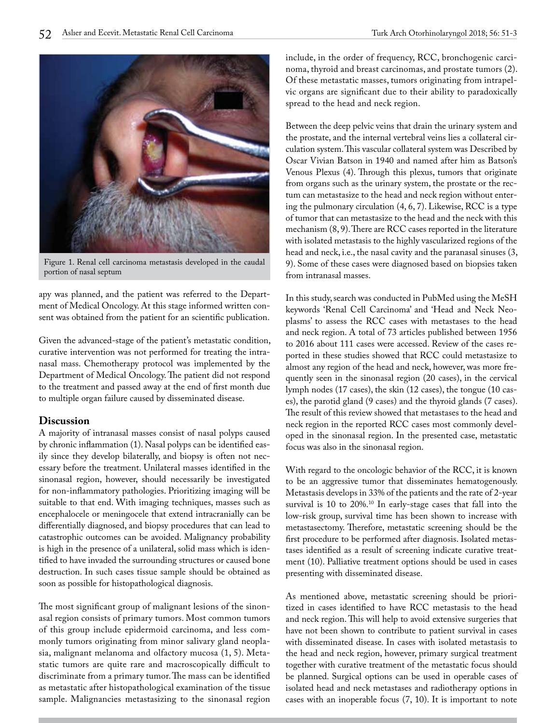

Figure 1. Renal cell carcinoma metastasis developed in the caudal portion of nasal septum

apy was planned, and the patient was referred to the Department of Medical Oncology. At this stage informed written consent was obtained from the patient for an scientific publication.

Given the advanced-stage of the patient's metastatic condition, curative intervention was not performed for treating the intranasal mass. Chemotherapy protocol was implemented by the Department of Medical Oncology. The patient did not respond to the treatment and passed away at the end of first month due to multiple organ failure caused by disseminated disease.

## **Discussion**

A majority of intranasal masses consist of nasal polyps caused by chronic inflammation (1). Nasal polyps can be identified easily since they develop bilaterally, and biopsy is often not necessary before the treatment. Unilateral masses identified in the sinonasal region, however, should necessarily be investigated for non-inflammatory pathologies. Prioritizing imaging will be suitable to that end. With imaging techniques, masses such as encephalocele or meningocele that extend intracranially can be differentially diagnosed, and biopsy procedures that can lead to catastrophic outcomes can be avoided. Malignancy probability is high in the presence of a unilateral, solid mass which is identified to have invaded the surrounding structures or caused bone destruction. In such cases tissue sample should be obtained as soon as possible for histopathological diagnosis.

The most significant group of malignant lesions of the sinonasal region consists of primary tumors. Most common tumors of this group include epidermoid carcinoma, and less commonly tumors originating from minor salivary gland neoplasia, malignant melanoma and olfactory mucosa (1, 5). Metastatic tumors are quite rare and macroscopically difficult to discriminate from a primary tumor. The mass can be identified as metastatic after histopathological examination of the tissue sample. Malignancies metastasizing to the sinonasal region include, in the order of frequency, RCC, bronchogenic carcinoma, thyroid and breast carcinomas, and prostate tumors (2). Of these metastatic masses, tumors originating from intrapelvic organs are significant due to their ability to paradoxically spread to the head and neck region.

Between the deep pelvic veins that drain the urinary system and the prostate, and the internal vertebral veins lies a collateral circulation system. This vascular collateral system was Described by Oscar Vivian Batson in 1940 and named after him as Batson's Venous Plexus (4). Through this plexus, tumors that originate from organs such as the urinary system, the prostate or the rectum can metastasize to the head and neck region without entering the pulmonary circulation (4, 6, 7). Likewise, RCC is a type of tumor that can metastasize to the head and the neck with this mechanism (8, 9). There are RCC cases reported in the literature with isolated metastasis to the highly vascularized regions of the head and neck, i.e., the nasal cavity and the paranasal sinuses (3, 9). Some of these cases were diagnosed based on biopsies taken from intranasal masses.

In this study, search was conducted in PubMed using the MeSH keywords 'Renal Cell Carcinoma' and 'Head and Neck Neoplasms' to assess the RCC cases with metastases to the head and neck region. A total of 73 articles published between 1956 to 2016 about 111 cases were accessed. Review of the cases reported in these studies showed that RCC could metastasize to almost any region of the head and neck, however, was more frequently seen in the sinonasal region (20 cases), in the cervical lymph nodes (17 cases), the skin (12 cases), the tongue (10 cases), the parotid gland (9 cases) and the thyroid glands (7 cases). The result of this review showed that metastases to the head and neck region in the reported RCC cases most commonly developed in the sinonasal region. In the presented case, metastatic focus was also in the sinonasal region.

With regard to the oncologic behavior of the RCC, it is known to be an aggressive tumor that disseminates hematogenously. Metastasis develops in 33% of the patients and the rate of 2-year survival is 10 to 20%.<sup>10</sup> In early-stage cases that fall into the low-risk group, survival time has been shown to increase with metastasectomy. Therefore, metastatic screening should be the first procedure to be performed after diagnosis. Isolated metastases identified as a result of screening indicate curative treatment (10). Palliative treatment options should be used in cases presenting with disseminated disease.

As mentioned above, metastatic screening should be prioritized in cases identified to have RCC metastasis to the head and neck region. This will help to avoid extensive surgeries that have not been shown to contribute to patient survival in cases with disseminated disease. In cases with isolated metastasis to the head and neck region, however, primary surgical treatment together with curative treatment of the metastatic focus should be planned. Surgical options can be used in operable cases of isolated head and neck metastases and radiotherapy options in cases with an inoperable focus (7, 10). It is important to note